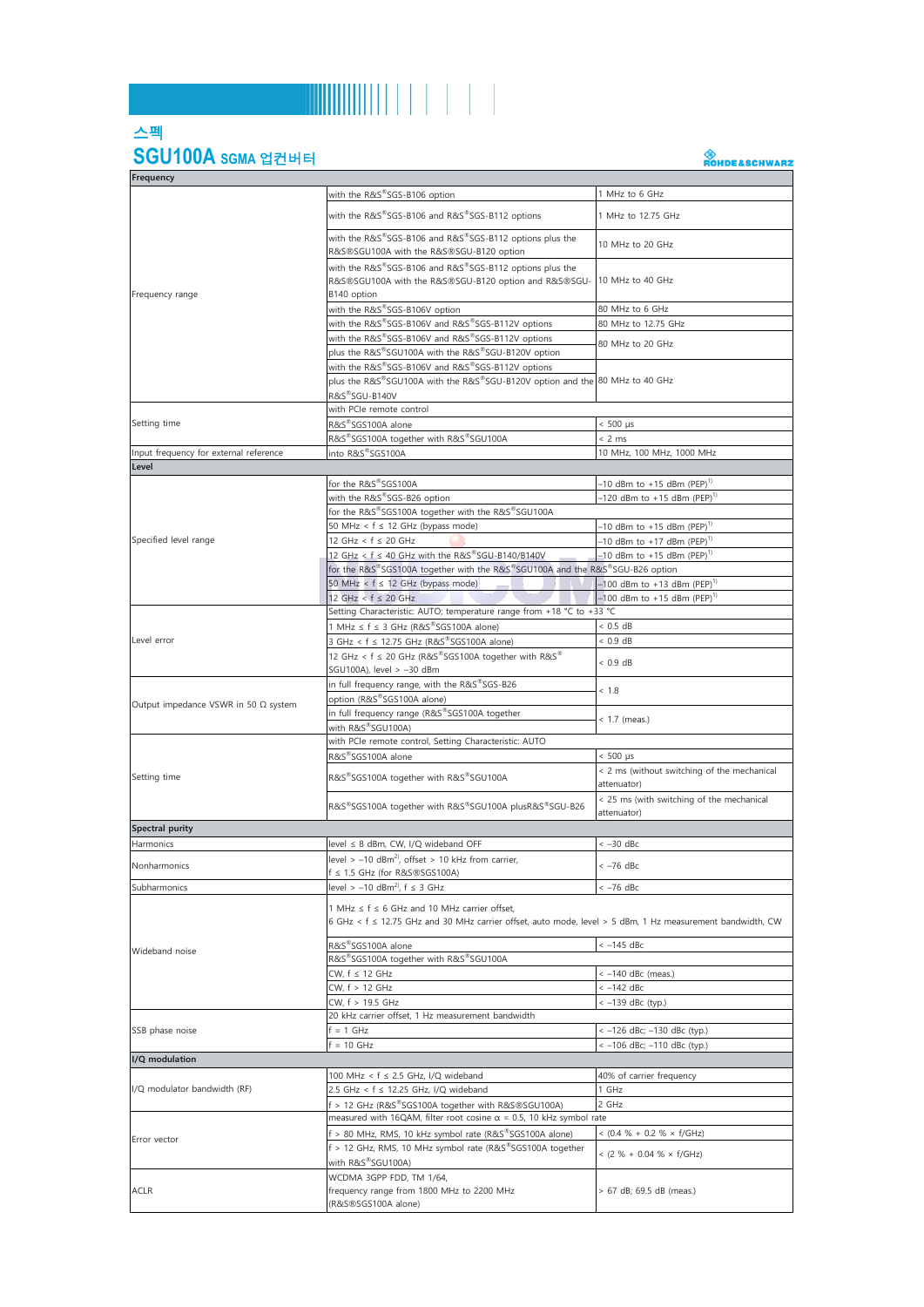## 

## 스펙 **SGU100A SGMA** 업컨버터

A<br>ROHDE&SCHWARZ

| <b>Frequency</b>                            |                                                                                                                                                           |                                                                            |  |
|---------------------------------------------|-----------------------------------------------------------------------------------------------------------------------------------------------------------|----------------------------------------------------------------------------|--|
|                                             | with the R&S®SGS-B106 option                                                                                                                              | 1 MHz to 6 GHz                                                             |  |
| Frequency range                             | with the R&S®SGS-B106 and R&S®SGS-B112 options                                                                                                            | 1 MHz to 12.75 GHz                                                         |  |
|                                             | with the R&S®SGS-B106 and R&S®SGS-B112 options plus the<br>R&S®SGU100A with the R&S®SGU-B120 option                                                       | 10 MHz to 20 GHz                                                           |  |
|                                             | with the R&S®SGS-B106 and R&S®SGS-B112 options plus the<br>R&S®SGU100A with the R&S®SGU-B120 option and R&S®SGU-                                          | 10 MHz to 40 GHz                                                           |  |
|                                             | B140 option                                                                                                                                               |                                                                            |  |
|                                             | with the R&S®SGS-B106V option<br>with the R&S®SGS-B106V and R&S®SGS-B112V options                                                                         | 80 MHz to 6 GHz<br>80 MHz to 12.75 GHz                                     |  |
|                                             | with the R&S®SGS-B106V and R&S®SGS-B112V options                                                                                                          |                                                                            |  |
|                                             | plus the R&S®SGU100A with the R&S®SGU-B120V option                                                                                                        | 80 MHz to 20 GHz                                                           |  |
|                                             | with the R&S®SGS-B106V and R&S®SGS-B112V options                                                                                                          |                                                                            |  |
|                                             | plus the R&S®SGU100A with the R&S®SGU-B120V option and the 80 MHz to 40 GHz                                                                               |                                                                            |  |
|                                             | R&S <sup>®</sup> SGU-B140V                                                                                                                                |                                                                            |  |
|                                             | with PCIe remote control                                                                                                                                  |                                                                            |  |
| Setting time                                | R&S®SGS100A alone                                                                                                                                         | $< 500 \text{ }\mu\text{s}$                                                |  |
|                                             | R&S®SGS100A together with R&S®SGU100A                                                                                                                     | < 2 ms                                                                     |  |
| Input frequency for external reference      | into R&S®SGS100A                                                                                                                                          | 10 MHz, 100 MHz, 1000 MHz                                                  |  |
| Level                                       |                                                                                                                                                           |                                                                            |  |
|                                             | for the R&S®SGS100A                                                                                                                                       | -10 dBm to +15 dBm (PEP) <sup>1)</sup>                                     |  |
|                                             | with the R&S®SGS-B26 option                                                                                                                               | -120 dBm to +15 dBm $(PEP)^{1}$                                            |  |
|                                             | for the R&S®SGS100A together with the R&S®SGU100A                                                                                                         | $-10$ dBm to +15 dBm (PEP) <sup>1)</sup>                                   |  |
| Specified level range                       | 50 MHz < $f \le 12$ GHz (bypass mode)<br>12 GHz < $f \le 20$ GHz                                                                                          | $-10$ dBm to +17 dBm (PEP) <sup>1)</sup>                                   |  |
|                                             | 12 GHz < $f \leq 40$ GHz with the R&S $^{\circ\!\circ}$ SGU-B140/B140V                                                                                    | $-10$ dBm to +15 dBm (PEP) <sup>1)</sup>                                   |  |
|                                             | for the R&S®SGS100A together with the R&S®SGU100A and the R&S®SGU-B26 option                                                                              |                                                                            |  |
|                                             | 50 MHz < $f \le 12$ GHz (bypass mode)                                                                                                                     | $-100$ dBm to +13 dBm (PEP) <sup>1)</sup>                                  |  |
|                                             | $12 GHz < f \leq 20 GHz$                                                                                                                                  | $-100$ dBm to +15 dBm (PEP) <sup>1)</sup>                                  |  |
|                                             | Setting Characteristic: AUTO; temperature range from +18 °C to +33 °C                                                                                     |                                                                            |  |
|                                             | MHz $\leq$ f $\leq$ 3 GHz (R&S <sup>®</sup> SGS100A alone)                                                                                                | < 0.5 dB                                                                   |  |
| Level error                                 | 3 GHz < f ≤ 12.75 GHz (R&S®SGS100A alone)                                                                                                                 | $< 0.9$ dB                                                                 |  |
|                                             | 12 GHz < f ≤ 20 GHz (R&S®SGS100A together with R&S®                                                                                                       | $< 0.9$ dB                                                                 |  |
|                                             | SGU100A), level > -30 dBm                                                                                                                                 |                                                                            |  |
|                                             | in full frequency range, with the R&S®SGS-B26                                                                                                             | < 1.8                                                                      |  |
| Output impedance VSWR in 50 $\Omega$ system | option (R&S <sup>®</sup> SGS100A alone)                                                                                                                   |                                                                            |  |
|                                             | in full frequency range (R&S®SGS100A together                                                                                                             | $<$ 1.7 (meas.)                                                            |  |
|                                             | with R&S®SGU100A)                                                                                                                                         |                                                                            |  |
|                                             | with PCIe remote control, Setting Characteristic: AUTO                                                                                                    |                                                                            |  |
|                                             | R&S®SGS100A alone                                                                                                                                         | $< 500 \text{ }\mu\text{s}$<br>< 2 ms (without switching of the mechanical |  |
| Setting time                                | R&S®SGS100A together with R&S®SGU100A                                                                                                                     | attenuator)<br>< 25 ms (with switching of the mechanical                   |  |
|                                             | R&S®SGS100A together with R&S®SGU100A plusR&S®SGU-B26                                                                                                     | attenuator)                                                                |  |
| <b>Spectral purity</b>                      |                                                                                                                                                           |                                                                            |  |
| Harmonics                                   | level ≤ 8 dBm, CW, I/Q wideband OFF                                                                                                                       | $<-30$ dBc                                                                 |  |
| Nonharmonics                                | level > $-10$ dBm <sup>2</sup> , offset > 10 kHz from carrier,                                                                                            | $<-76$ dBc                                                                 |  |
|                                             | ≤ 1.5 GHz (for R&S®SGS100A)                                                                                                                               |                                                                            |  |
| Subharmonics                                | level > $-10$ dBm <sup>2</sup> , f $\leq$ 3 GHz                                                                                                           | < -76 dBc                                                                  |  |
| Wideband noise                              | 1 MHz ≤ f ≤ 6 GHz and 10 MHz carrier offset,<br>6 GHz < f ≤ 12.75 GHz and 30 MHz carrier offset, auto mode, level > 5 dBm, 1 Hz measurement bandwidth, CW |                                                                            |  |
|                                             | R&S®SGS100A alone                                                                                                                                         | $<-145$ dBc                                                                |  |
|                                             | R&S®SGS100A together with R&S®SGU100A                                                                                                                     |                                                                            |  |
|                                             | CW, f ≤ 12 GHz                                                                                                                                            | <- 140 dBc (meas.)                                                         |  |
|                                             | CW, f > 12 GHz                                                                                                                                            | $<-142$ dBc                                                                |  |
|                                             | CW, f > 19.5 GHz                                                                                                                                          | < -139 dBc (typ.)                                                          |  |
| SSB phase noise                             | 20 kHz carrier offset, 1 Hz measurement bandwidth                                                                                                         |                                                                            |  |
|                                             | $= 1$ GHz                                                                                                                                                 | < -126 dBc; -130 dBc (typ.)                                                |  |
|                                             | $= 10$ GHz                                                                                                                                                | < -106 dBc; -110 dBc (typ.)                                                |  |
| I/Q modulation                              |                                                                                                                                                           |                                                                            |  |
| I/Q modulator bandwidth (RF)                | 100 MHz < f ≤ 2.5 GHz, I/Q wideband                                                                                                                       | 40% of carrier frequency                                                   |  |
|                                             | 2.5 GHz < f ≤ 12.25 GHz, I/Q wideband                                                                                                                     | 1 GHz                                                                      |  |
|                                             | f > 12 GHz (R&S®SGS100A together with R&S®SGU100A)<br>2 GHz<br>measured with 16QAM, filter root cosine $\alpha$ = 0.5, 10 kHz symbol rate                 |                                                                            |  |
| Error vector                                |                                                                                                                                                           |                                                                            |  |
|                                             | f > 80 MHz, RMS, 10 kHz symbol rate (R&S®SGS100A alone)<br>f > 12 GHz, RMS, 10 MHz symbol rate (R&S®SGS100A together                                      | $<$ (0.4 % + 0.2 % $\times$ f/GHz)                                         |  |
|                                             | with R&S®SGU100A)                                                                                                                                         | < $(2 % + 0.04 % \times f/GHz)$                                            |  |
| <b>ACLR</b>                                 | WCDMA 3GPP FDD, TM 1/64,<br>frequency range from 1800 MHz to 2200 MHz<br>(R&S®SGS100A alone)                                                              | > 67 dB; 69.5 dB (meas.)                                                   |  |